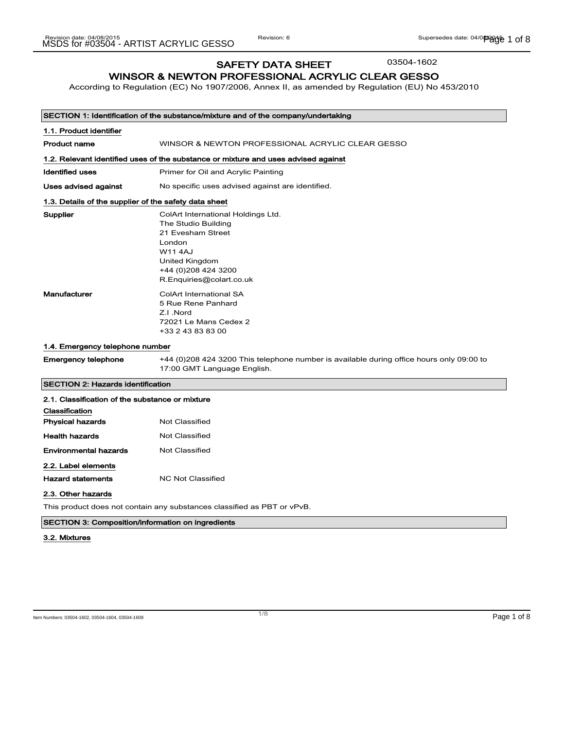SAFETY DATA SHEET

03504-1602

# WINSOR & NEWTON PROFESSIONAL ACRYLIC CLEAR GESSO

According to Regulation (EC) No 1907/2006, Annex II, as amended by Regulation (EU) No 453/2010

|                                                       | SECTION 1: Identification of the substance/mixture and of the company/undertaking                                                                                               |
|-------------------------------------------------------|---------------------------------------------------------------------------------------------------------------------------------------------------------------------------------|
| 1.1. Product identifier                               |                                                                                                                                                                                 |
| <b>Product name</b>                                   | WINSOR & NEWTON PROFESSIONAL ACRYLIC CLEAR GESSO                                                                                                                                |
|                                                       | 1.2. Relevant identified uses of the substance or mixture and uses advised against                                                                                              |
| <b>Identified uses</b>                                | Primer for Oil and Acrylic Painting                                                                                                                                             |
| Uses advised against                                  | No specific uses advised against are identified.                                                                                                                                |
| 1.3. Details of the supplier of the safety data sheet |                                                                                                                                                                                 |
| Supplier                                              | ColArt International Holdings Ltd.<br>The Studio Building<br>21 Evesham Street<br>London<br><b>W114AJ</b><br>United Kingdom<br>+44 (0) 208 424 3200<br>R.Enquiries@colart.co.uk |
| <b>Manufacturer</b>                                   | <b>ColArt International SA</b><br>5 Rue Rene Panhard<br>Z.I.Nord<br>72021 Le Mans Cedex 2<br>+33 2 43 83 83 00                                                                  |
| 1.4. Emergency telephone number                       |                                                                                                                                                                                 |
| <b>Emergency telephone</b>                            | +44 (0)208 424 3200 This telephone number is available during office hours only 09:00 to<br>17:00 GMT Language English.                                                         |
| <b>SECTION 2: Hazards identification</b>              |                                                                                                                                                                                 |
| 2.1. Classification of the substance or mixture       |                                                                                                                                                                                 |
| Classification                                        |                                                                                                                                                                                 |
| <b>Physical hazards</b>                               | Not Classified                                                                                                                                                                  |
| <b>Health hazards</b>                                 | <b>Not Classified</b>                                                                                                                                                           |
| <b>Environmental hazards</b>                          | Not Classified                                                                                                                                                                  |
| 2.2. Label elements<br><b>Hazard statements</b>       | <b>NC Not Classified</b>                                                                                                                                                        |
| 2.3. Other hazards                                    | This product does not contain any substances classified as PBT or vPvB.                                                                                                         |

SECTION 3: Composition/information on ingredients

#### 3.2. Mixtures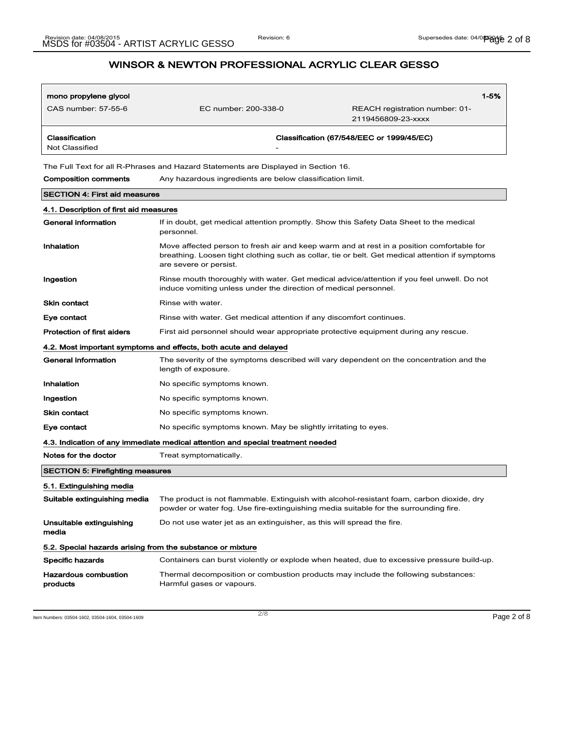| mono propylene glycol<br>CAS number: 57-55-6                                       | EC number: 200-338-0 | REACH registration number: 01-<br>2119456809-23-xxxx | $1 - 5%$ |
|------------------------------------------------------------------------------------|----------------------|------------------------------------------------------|----------|
| Classification<br>Not Classified                                                   | ۰                    | Classification (67/548/EEC or 1999/45/EC)            |          |
| The Full Text for all R-Phrases and Hazard Statements are Displayed in Section 16. |                      |                                                      |          |

Composition comments Any hazardous ingredients are below classification limit.

| <b>SECTION 4: First aid measures</b>                             |                                                                                                                                                                                                                        |  |
|------------------------------------------------------------------|------------------------------------------------------------------------------------------------------------------------------------------------------------------------------------------------------------------------|--|
| 4.1. Description of first aid measures                           |                                                                                                                                                                                                                        |  |
| <b>General information</b>                                       | If in doubt, get medical attention promptly. Show this Safety Data Sheet to the medical<br>personnel.                                                                                                                  |  |
| Inhalation                                                       | Move affected person to fresh air and keep warm and at rest in a position comfortable for<br>breathing. Loosen tight clothing such as collar, tie or belt. Get medical attention if symptoms<br>are severe or persist. |  |
| Ingestion                                                        | Rinse mouth thoroughly with water. Get medical advice/attention if you feel unwell. Do not<br>induce vomiting unless under the direction of medical personnel.                                                         |  |
| Skin contact                                                     | Rinse with water.                                                                                                                                                                                                      |  |
| Eye contact                                                      | Rinse with water. Get medical attention if any discomfort continues.                                                                                                                                                   |  |
| <b>Protection of first aiders</b>                                | First aid personnel should wear appropriate protective equipment during any rescue.                                                                                                                                    |  |
| 4.2. Most important symptoms and effects, both acute and delayed |                                                                                                                                                                                                                        |  |
| <b>General information</b>                                       | The severity of the symptoms described will vary dependent on the concentration and the<br>length of exposure.                                                                                                         |  |
| Inhalation                                                       | No specific symptoms known.                                                                                                                                                                                            |  |
| Ingestion                                                        | No specific symptoms known.                                                                                                                                                                                            |  |
| <b>Skin contact</b>                                              | No specific symptoms known.                                                                                                                                                                                            |  |
| Eye contact                                                      | No specific symptoms known. May be slightly irritating to eyes.                                                                                                                                                        |  |
|                                                                  | 4.3. Indication of any immediate medical attention and special treatment needed                                                                                                                                        |  |
| Notes for the doctor                                             | Treat symptomatically.                                                                                                                                                                                                 |  |
| <b>SECTION 5: Firefighting measures</b>                          |                                                                                                                                                                                                                        |  |
| 5.1. Extinguishing media                                         |                                                                                                                                                                                                                        |  |
| Suitable extinguishing media                                     | The product is not flammable. Extinguish with alcohol-resistant foam, carbon dioxide, dry<br>powder or water fog. Use fire-extinguishing media suitable for the surrounding fire.                                      |  |
| Unsuitable extinguishing<br>media                                | Do not use water jet as an extinguisher, as this will spread the fire.                                                                                                                                                 |  |
| 5.2. Special hazards arising from the substance or mixture       |                                                                                                                                                                                                                        |  |
| <b>Specific hazards</b>                                          | Containers can burst violently or explode when heated, due to excessive pressure build-up.                                                                                                                             |  |
| <b>Hazardous combustion</b><br>products                          | Thermal decomposition or combustion products may include the following substances:<br>Harmful gases or vapours.                                                                                                        |  |
|                                                                  |                                                                                                                                                                                                                        |  |

Item Numbers: 03504-1602, 03504-1604, 03504-1609 Page 2 of 8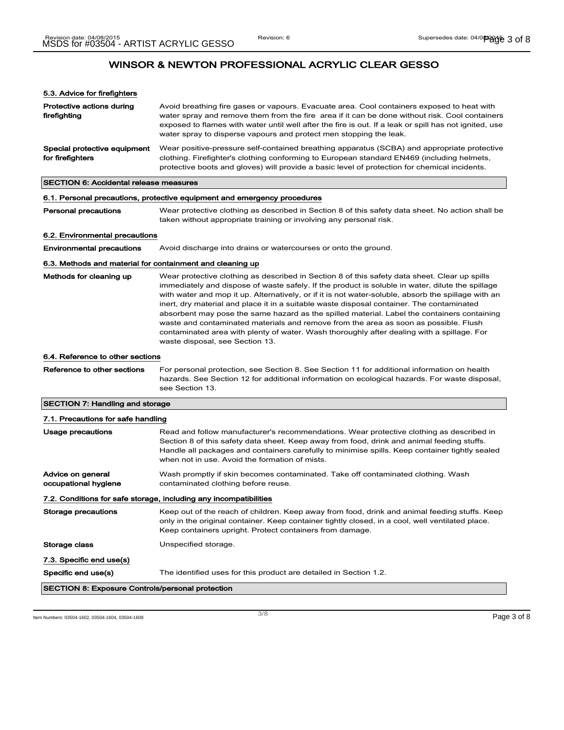| 5.3. Advice for firefighters                              |                                                                                                                                                                                                                                                                                                                                                                                                                                                                                                      |
|-----------------------------------------------------------|------------------------------------------------------------------------------------------------------------------------------------------------------------------------------------------------------------------------------------------------------------------------------------------------------------------------------------------------------------------------------------------------------------------------------------------------------------------------------------------------------|
| Protective actions during<br>firefighting                 | Avoid breathing fire gases or vapours. Evacuate area. Cool containers exposed to heat with<br>water spray and remove them from the fire area if it can be done without risk. Cool containers<br>exposed to flames with water until well after the fire is out. If a leak or spill has not ignited, use<br>water spray to disperse vapours and protect men stopping the leak.                                                                                                                         |
| Special protective equipment<br>for firefighters          | Wear positive-pressure self-contained breathing apparatus (SCBA) and appropriate protective<br>clothing. Firefighter's clothing conforming to European standard EN469 (including helmets,<br>protective boots and gloves) will provide a basic level of protection for chemical incidents.                                                                                                                                                                                                           |
| SECTION 6: Accidental release measures                    |                                                                                                                                                                                                                                                                                                                                                                                                                                                                                                      |
|                                                           | 6.1. Personal precautions, protective equipment and emergency procedures                                                                                                                                                                                                                                                                                                                                                                                                                             |
| <b>Personal precautions</b>                               | Wear protective clothing as described in Section 8 of this safety data sheet. No action shall be<br>taken without appropriate training or involving any personal risk.                                                                                                                                                                                                                                                                                                                               |
| 6.2. Environmental precautions                            |                                                                                                                                                                                                                                                                                                                                                                                                                                                                                                      |
| <b>Environmental precautions</b>                          | Avoid discharge into drains or watercourses or onto the ground.                                                                                                                                                                                                                                                                                                                                                                                                                                      |
| 6.3. Methods and material for containment and cleaning up |                                                                                                                                                                                                                                                                                                                                                                                                                                                                                                      |
| Methods for cleaning up                                   | Wear protective clothing as described in Section 8 of this safety data sheet. Clear up spills<br>immediately and dispose of waste safely. If the product is soluble in water, dilute the spillage<br>with water and mop it up. Alternatively, or if it is not water-soluble, absorb the spillage with an<br>inert, dry material and place it in a suitable waste disposal container. The contaminated<br>absorbent may pose the same hazard as the spilled material. Label the containers containing |

6.4. Reference to other sections

Reference to other sections For personal protection, see Section 8. See Section 11 for additional information on health hazards. See Section 12 for additional information on ecological hazards. For waste disposal, see Section 13.

waste disposal, see Section 13.

waste and contaminated materials and remove from the area as soon as possible. Flush contaminated area with plenty of water. Wash thoroughly after dealing with a spillage. For

### SECTION 7: Handling and storage

| 7.1. Precautions for safe handling                                |                                                                                                                                                                                                                                                                                                                                            |  |
|-------------------------------------------------------------------|--------------------------------------------------------------------------------------------------------------------------------------------------------------------------------------------------------------------------------------------------------------------------------------------------------------------------------------------|--|
| Usage precautions                                                 | Read and follow manufacturer's recommendations. Wear protective clothing as described in<br>Section 8 of this safety data sheet. Keep away from food, drink and animal feeding stuffs.<br>Handle all packages and containers carefully to minimise spills. Keep container tightly sealed<br>when not in use. Avoid the formation of mists. |  |
| Advice on general<br>occupational hygiene                         | Wash promptly if skin becomes contaminated. Take off contaminated clothing. Wash<br>contaminated clothing before reuse.                                                                                                                                                                                                                    |  |
| 7.2. Conditions for safe storage, including any incompatibilities |                                                                                                                                                                                                                                                                                                                                            |  |
| Storage precautions                                               | Keep out of the reach of children. Keep away from food, drink and animal feeding stuffs. Keep<br>only in the original container. Keep container tightly closed, in a cool, well ventilated place.<br>Keep containers upright. Protect containers from damage.                                                                              |  |
| Storage class                                                     | Unspecified storage.                                                                                                                                                                                                                                                                                                                       |  |
| 7.3. Specific end use(s)                                          |                                                                                                                                                                                                                                                                                                                                            |  |
| Specific end use(s)                                               | The identified uses for this product are detailed in Section 1.2.                                                                                                                                                                                                                                                                          |  |
| <b>SECTION 8: Exposure Controls/personal protection</b>           |                                                                                                                                                                                                                                                                                                                                            |  |

Item Numbers: 03504-1602, 03504-1604, 03504-1609 Page 3 of 8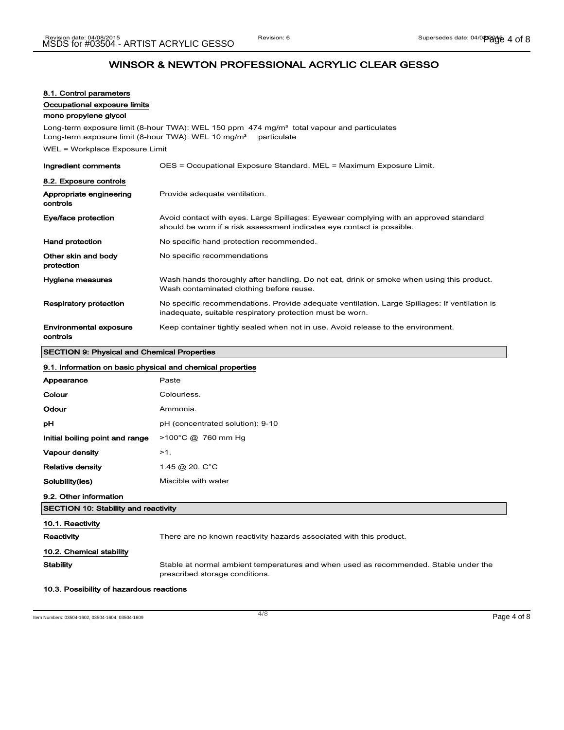### 8.1. Control parameters

Occupational exposure limits

### mono propylene glycol

Long-term exposure limit (8-hour TWA): WEL 150 ppm 474 mg/m<sup>3</sup> total vapour and particulates Long-term exposure limit (8-hour TWA): WEL 10 mg/m<sup>3</sup> particulate

WEL = Workplace Exposure Limit

| Ingredient comments                       | OES = Occupational Exposure Standard. MEL = Maximum Exposure Limit.                                                                                             |
|-------------------------------------------|-----------------------------------------------------------------------------------------------------------------------------------------------------------------|
| 8.2. Exposure controls                    |                                                                                                                                                                 |
| Appropriate engineering<br>controls       | Provide adequate ventilation.                                                                                                                                   |
| Eye/face protection                       | Avoid contact with eyes. Large Spillages: Eyewear complying with an approved standard<br>should be worn if a risk assessment indicates eye contact is possible. |
| <b>Hand protection</b>                    | No specific hand protection recommended.                                                                                                                        |
| Other skin and body<br>protection         | No specific recommendations                                                                                                                                     |
| Hygiene measures                          | Wash hands thoroughly after handling. Do not eat, drink or smoke when using this product.<br>Wash contaminated clothing before reuse.                           |
| Respiratory protection                    | No specific recommendations. Provide adequate ventilation. Large Spillages: If ventilation is<br>inadequate, suitable respiratory protection must be worn.      |
| <b>Environmental exposure</b><br>controls | Keep container tightly sealed when not in use. Avoid release to the environment.                                                                                |

### SECTION 9: Physical and Chemical Properties

| 9.1. Information on basic physical and chemical properties |                                                                                                                        |  |
|------------------------------------------------------------|------------------------------------------------------------------------------------------------------------------------|--|
| Appearance                                                 | Paste                                                                                                                  |  |
| Colour                                                     | Colourless.                                                                                                            |  |
| Odour                                                      | Ammonia.                                                                                                               |  |
| рH                                                         | pH (concentrated solution): 9-10                                                                                       |  |
| Initial boiling point and range                            | $>100^{\circ}$ C @ 760 mm Hg                                                                                           |  |
| Vapour density                                             | $>1$ .                                                                                                                 |  |
| <b>Relative density</b>                                    | 1.45 @ 20. C°C                                                                                                         |  |
| Solubility(ies)                                            | Miscible with water                                                                                                    |  |
| 9.2. Other information                                     |                                                                                                                        |  |
| <b>SECTION 10: Stability and reactivity</b>                |                                                                                                                        |  |
| 10.1. Reactivity                                           |                                                                                                                        |  |
| Reactivity                                                 | There are no known reactivity hazards associated with this product.                                                    |  |
| 10.2. Chemical stability                                   |                                                                                                                        |  |
| <b>Stability</b>                                           | Stable at normal ambient temperatures and when used as recommended. Stable under the<br>prescribed storage conditions. |  |

#### 10.3. Possibility of hazardous reactions

Item Numbers: 03504-1602, 03504-1604, 03504-1609 Page 4 of 8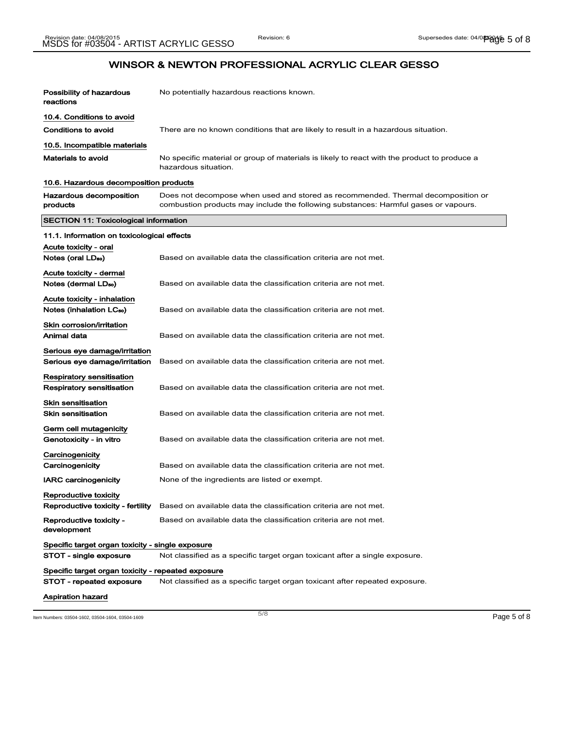| Possibility of hazardous                                       | No potentially hazardous reactions known.                                                                                                                               |
|----------------------------------------------------------------|-------------------------------------------------------------------------------------------------------------------------------------------------------------------------|
| reactions                                                      |                                                                                                                                                                         |
| 10.4. Conditions to avoid                                      |                                                                                                                                                                         |
| Conditions to avoid                                            | There are no known conditions that are likely to result in a hazardous situation.                                                                                       |
| 10.5. Incompatible materials                                   |                                                                                                                                                                         |
| <b>Materials to avoid</b>                                      | No specific material or group of materials is likely to react with the product to produce a<br>hazardous situation.                                                     |
| 10.6. Hazardous decomposition products                         |                                                                                                                                                                         |
| Hazardous decomposition<br>products                            | Does not decompose when used and stored as recommended. Thermal decomposition or<br>combustion products may include the following substances: Harmful gases or vapours. |
| SECTION 11: Toxicological information                          |                                                                                                                                                                         |
| 11.1. Information on toxicological effects                     |                                                                                                                                                                         |
| Acute toxicity - oral                                          |                                                                                                                                                                         |
| Notes (oral LD <sub>50</sub> )                                 | Based on available data the classification criteria are not met.                                                                                                        |
| Acute toxicity - dermal                                        |                                                                                                                                                                         |
| Notes (dermal LDso)                                            | Based on available data the classification criteria are not met.                                                                                                        |
| Acute toxicity - inhalation                                    |                                                                                                                                                                         |
| Notes (inhalation LC <sub>50</sub> )                           | Based on available data the classification criteria are not met.                                                                                                        |
| Skin corrosion/irritation                                      |                                                                                                                                                                         |
| Animal data                                                    | Based on available data the classification criteria are not met.                                                                                                        |
| Serious eye damage/irritation<br>Serious eye damage/irritation | Based on available data the classification criteria are not met.                                                                                                        |
| Respiratory sensitisation                                      |                                                                                                                                                                         |
| Respiratory sensitisation                                      | Based on available data the classification criteria are not met.                                                                                                        |
| Skin sensitisation                                             |                                                                                                                                                                         |
| <b>Skin sensitisation</b>                                      | Based on available data the classification criteria are not met.                                                                                                        |
| Germ cell mutagenicity<br>Genotoxicity - in vitro              | Based on available data the classification criteria are not met.                                                                                                        |
| Carcinogenicity                                                |                                                                                                                                                                         |
| Carcinogenicity                                                | Based on available data the classification criteria are not met.                                                                                                        |
| <b>IARC carcinogenicity</b>                                    | None of the ingredients are listed or exempt.                                                                                                                           |
| Reproductive toxicity                                          |                                                                                                                                                                         |
| Reproductive toxicity - fertility                              | Based on available data the classification criteria are not met.                                                                                                        |
| Reproductive toxicity -<br>development                         | Based on available data the classification criteria are not met.                                                                                                        |
| Specific target organ toxicity - single exposure               |                                                                                                                                                                         |
| STOT - single exposure                                         | Not classified as a specific target organ toxicant after a single exposure.                                                                                             |
| Specific target organ toxicity - repeated exposure             |                                                                                                                                                                         |
| STOT - repeated exposure                                       | Not classified as a specific target organ toxicant after repeated exposure.                                                                                             |
| Aspiration hazard                                              |                                                                                                                                                                         |

Item Numbers: 03504-1602, 03504-1604, 03504-1609 Page 5 of 8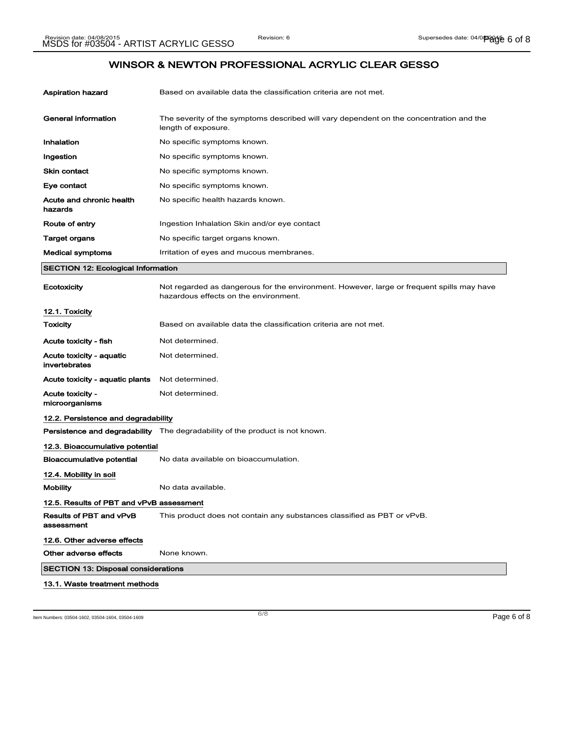| Aspiration hazard                          | Based on available data the classification criteria are not met.                                                                   |
|--------------------------------------------|------------------------------------------------------------------------------------------------------------------------------------|
| <b>General information</b>                 | The severity of the symptoms described will vary dependent on the concentration and the<br>length of exposure.                     |
| Inhalation                                 | No specific symptoms known.                                                                                                        |
| Ingestion                                  | No specific symptoms known.                                                                                                        |
| Skin contact                               | No specific symptoms known.                                                                                                        |
| Eye contact                                | No specific symptoms known.                                                                                                        |
| Acute and chronic health<br>hazards        | No specific health hazards known.                                                                                                  |
| Route of entry                             | Ingestion Inhalation Skin and/or eye contact                                                                                       |
| Target organs                              | No specific target organs known.                                                                                                   |
| Medical symptoms                           | Irritation of eyes and mucous membranes.                                                                                           |
| <b>SECTION 12: Ecological Information</b>  |                                                                                                                                    |
| Ecotoxicity                                | Not regarded as dangerous for the environment. However, large or frequent spills may have<br>hazardous effects on the environment. |
| 12.1. Toxicity                             |                                                                                                                                    |
| Toxicity                                   | Based on available data the classification criteria are not met.                                                                   |
| Acute toxicity - fish                      | Not determined.                                                                                                                    |
| Acute toxicity - aquatic<br>invertebrates  | Not determined.                                                                                                                    |
| Acute toxicity - aquatic plants            | Not determined.                                                                                                                    |
| Acute toxicity -<br>microorganisms         | Not determined.                                                                                                                    |
| 12.2. Persistence and degradability        |                                                                                                                                    |
|                                            | <b>Persistence and degradability</b> The degradability of the product is not known.                                                |
| 12.3. Bioaccumulative potential            |                                                                                                                                    |
| Bioaccumulative potential                  | No data available on bioaccumulation.                                                                                              |
| 12.4. Mobility in soil                     |                                                                                                                                    |
| Mobility                                   | No data available.                                                                                                                 |
| 12.5. Results of PBT and vPvB assessment   |                                                                                                                                    |
| Results of PBT and vPvB<br>assessment      | This product does not contain any substances classified as PBT or vPvB.                                                            |
| 12.6. Other adverse effects                |                                                                                                                                    |
| Other adverse effects                      | None known.                                                                                                                        |
| <b>SECTION 13: Disposal considerations</b> |                                                                                                                                    |
| 13.1. Waste treatment methods              |                                                                                                                                    |

Item Numbers: 03504-1602, 03504-1604, 03504-1609 Page 6 of 8

6/ 8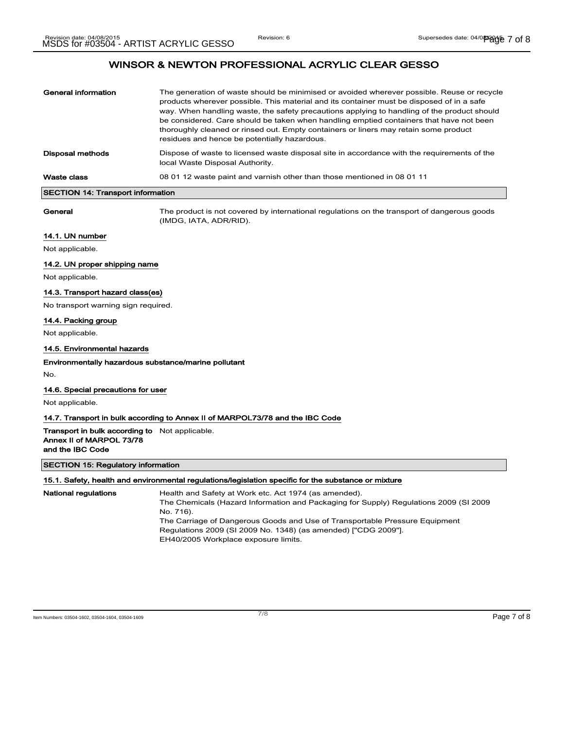| General information               | The generation of waste should be minimised or avoided wherever possible. Reuse or recycle<br>products wherever possible. This material and its container must be disposed of in a safe<br>way. When handling waste, the safety precautions applying to handling of the product should<br>be considered. Care should be taken when handling emptied containers that have not been<br>thoroughly cleaned or rinsed out. Empty containers or liners may retain some product<br>residues and hence be potentially hazardous. |
|-----------------------------------|---------------------------------------------------------------------------------------------------------------------------------------------------------------------------------------------------------------------------------------------------------------------------------------------------------------------------------------------------------------------------------------------------------------------------------------------------------------------------------------------------------------------------|
| Disposal methods                  | Dispose of waste to licensed waste disposal site in accordance with the requirements of the<br>local Waste Disposal Authority.                                                                                                                                                                                                                                                                                                                                                                                            |
| Waste class                       | 08 01 12 waste paint and varnish other than those mentioned in 08 01 11                                                                                                                                                                                                                                                                                                                                                                                                                                                   |
| CECTION 44. Transport information |                                                                                                                                                                                                                                                                                                                                                                                                                                                                                                                           |

#### sport inform

General The product is not covered by international regulations on the transport of dangerous goods (IMDG, IATA, ADR/RID).

#### 14.1. UN number

Not applicable.

#### 14.2. UN proper shipping name

Not applicable.

#### 14.3. Transport hazard class(es)

No transport warning sign required.

### 14.4. Packing group

Not applicable.

### 14.5. Environmental hazards

#### Environmentally hazardous substance/marine pollutant

No.

### 14.6. Special precautions for user

Not applicable.

#### 14.7. Transport in bulk according to Annex II of MARPOL73/78 and the IBC Code

Transport in bulk according to Not applicable. Annex II of MARPOL 73/78 and the IBC Code

#### SECTION 15: Regulatory information

#### 15.1. Safety, health and environmental regulations/legislation specific for the substance or mixture

National regulations **Health and Safety at Work etc. Act 1974** (as amended). The Chemicals (Hazard Information and Packaging for Supply) Regulations 2009 (SI 2009 No. 716). The Carriage of Dangerous Goods and Use of Transportable Pressure Equipment Regulations 2009 (SI 2009 No. 1348) (as amended) ["CDG 2009"]. EH40/2005 Workplace exposure limits.